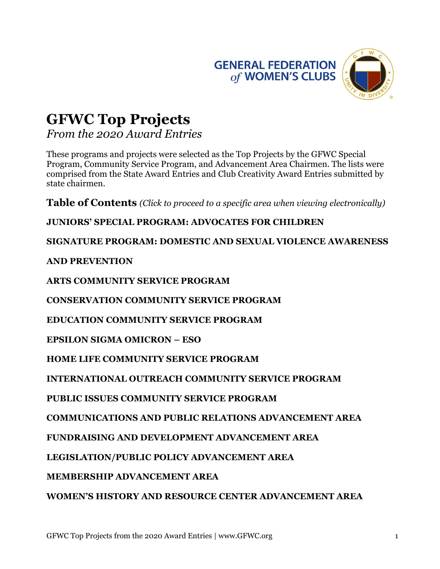



# **GFWC Top Projects**

*From the 2020 Award Entries* 

These programs and projects were selected as the Top Projects by the GFWC Special Program, Community Service Program, and Advancement Area Chairmen. The lists were comprised from the State Award Entries and Club Creativity Award Entries submitted by state chairmen.

**Table of Contents** *(Click to proceed to a specific area when viewing electronically)* 

**JUNIORS' SPECIAL PROGRAM: ADVOCATES FOR CHILDREN**

**SIGNATURE PROGRAM: DOMESTIC AND SEXUAL VIOLENCE AWARENESS** 

**AND PREVENTION** 

**ARTS COMMUNITY SERVICE PROGRAM**

**CONSERVATION COMMUNITY SERVICE PROGRAM** 

**EDUCATION COMMUNITY SERVICE PROGRAM** 

**EPSILON SIGMA OMICRON – ESO** 

**HOME LIFE COMMUNITY SERVICE PROGRAM** 

**INTERNATIONAL OUTREACH COMMUNITY SERVICE PROGRAM** 

**PUBLIC ISSUES COMMUNITY SERVICE PROGRAM** 

**COMMUNICATIONS AND PUBLIC RELATIONS ADVANCEMENT AREA** 

**FUNDRAISING AND DEVELOPMENT ADVANCEMENT AREA** 

**LEGISLATION/PUBLIC POLICY ADVANCEMENT AREA** 

**MEMBERSHIP ADVANCEMENT AREA** 

**WOMEN'S HISTORY AND RESOURCE CENTER ADVANCEMENT AREA**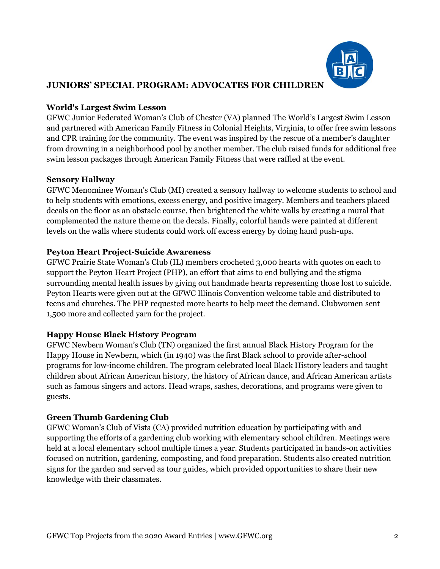

# **JUNIORS' SPECIAL PROGRAM: ADVOCATES FOR CHILDREN**

### **World's Largest Swim Lesson**

GFWC Junior Federated Woman's Club of Chester (VA) planned The World's Largest Swim Lesson and partnered with American Family Fitness in Colonial Heights, Virginia, to offer free swim lessons and CPR training for the community. The event was inspired by the rescue of a member's daughter from drowning in a neighborhood pool by another member. The club raised funds for additional free swim lesson packages through American Family Fitness that were raffled at the event.

### **Sensory Hallway**

GFWC Menominee Woman's Club (MI) created a sensory hallway to welcome students to school and to help students with emotions, excess energy, and positive imagery. Members and teachers placed decals on the floor as an obstacle course, then brightened the white walls by creating a mural that complemented the nature theme on the decals. Finally, colorful hands were painted at different levels on the walls where students could work off excess energy by doing hand push-ups.

### **Peyton Heart Project-Suicide Awareness**

GFWC Prairie State Woman's Club (IL) members crocheted 3,000 hearts with quotes on each to support the Peyton Heart Project (PHP), an effort that aims to end bullying and the stigma surrounding mental health issues by giving out handmade hearts representing those lost to suicide. Peyton Hearts were given out at the GFWC Illinois Convention welcome table and distributed to teens and churches. The PHP requested more hearts to help meet the demand. Clubwomen sent 1,500 more and collected yarn for the project.

## **Happy House Black History Program**

GFWC Newbern Woman's Club (TN) organized the first annual Black History Program for the Happy House in Newbern, which (in 1940) was the first Black school to provide after-school programs for low-income children. The program celebrated local Black History leaders and taught children about African American history, the history of African dance, and African American artists such as famous singers and actors. Head wraps, sashes, decorations, and programs were given to guests.

## **Green Thumb Gardening Club**

GFWC Woman's Club of Vista (CA) provided nutrition education by participating with and supporting the efforts of a gardening club working with elementary school children. Meetings were held at a local elementary school multiple times a year. Students participated in hands-on activities focused on nutrition, gardening, composting, and food preparation. Students also created nutrition signs for the garden and served as tour guides, which provided opportunities to share their new knowledge with their classmates.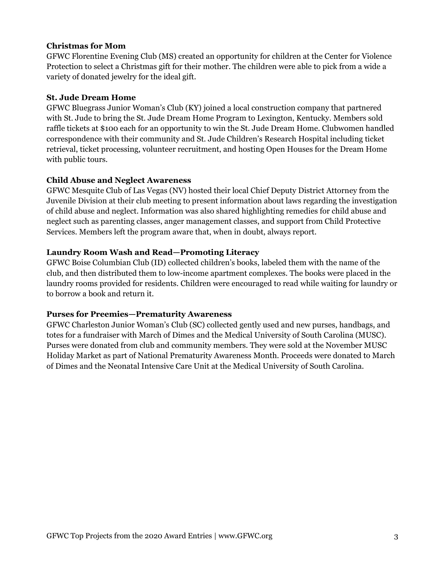## **Christmas for Mom**

GFWC Florentine Evening Club (MS) created an opportunity for children at the Center for Violence Protection to select a Christmas gift for their mother. The children were able to pick from a wide a variety of donated jewelry for the ideal gift.

### **St. Jude Dream Home**

GFWC Bluegrass Junior Woman's Club (KY) joined a local construction company that partnered with St. Jude to bring the St. Jude Dream Home Program to Lexington, Kentucky. Members sold raffle tickets at \$100 each for an opportunity to win the St. Jude Dream Home. Clubwomen handled correspondence with their community and St. Jude Children's Research Hospital including ticket retrieval, ticket processing, volunteer recruitment, and hosting Open Houses for the Dream Home with public tours.

### **Child Abuse and Neglect Awareness**

GFWC Mesquite Club of Las Vegas (NV) hosted their local Chief Deputy District Attorney from the Juvenile Division at their club meeting to present information about laws regarding the investigation of child abuse and neglect. Information was also shared highlighting remedies for child abuse and neglect such as parenting classes, anger management classes, and support from Child Protective Services. Members left the program aware that, when in doubt, always report.

### **Laundry Room Wash and Read—Promoting Literacy**

GFWC Boise Columbian Club (ID) collected children's books, labeled them with the name of the club, and then distributed them to low-income apartment complexes. The books were placed in the laundry rooms provided for residents. Children were encouraged to read while waiting for laundry or to borrow a book and return it.

#### **Purses for Preemies—Prematurity Awareness**

GFWC Charleston Junior Woman's Club (SC) collected gently used and new purses, handbags, and totes for a fundraiser with March of Dimes and the Medical University of South Carolina (MUSC). Purses were donated from club and community members. They were sold at the November MUSC Holiday Market as part of National Prematurity Awareness Month. Proceeds were donated to March of Dimes and the Neonatal Intensive Care Unit at the Medical University of South Carolina.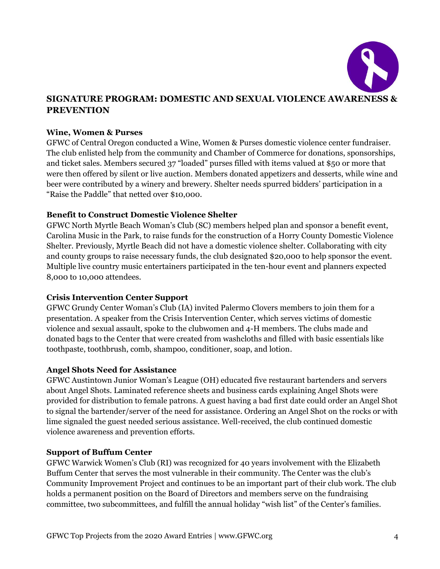

# **SIGNATURE PROGRAM: DOMESTIC AND SEXUAL VIOLENCE AWARENESS & PREVENTION**

#### **Wine, Women & Purses**

GFWC of Central Oregon conducted a Wine, Women & Purses domestic violence center fundraiser. The club enlisted help from the community and Chamber of Commerce for donations, sponsorships, and ticket sales. Members secured 37 "loaded" purses filled with items valued at \$50 or more that were then offered by silent or live auction. Members donated appetizers and desserts, while wine and beer were contributed by a winery and brewery. Shelter needs spurred bidders' participation in a "Raise the Paddle" that netted over \$10,000.

### **Benefit to Construct Domestic Violence Shelter**

GFWC North Myrtle Beach Woman's Club (SC) members helped plan and sponsor a benefit event, Carolina Music in the Park, to raise funds for the construction of a Horry County Domestic Violence Shelter. Previously, Myrtle Beach did not have a domestic violence shelter. Collaborating with city and county groups to raise necessary funds, the club designated \$20,000 to help sponsor the event. Multiple live country music entertainers participated in the ten-hour event and planners expected 8,000 to 10,000 attendees.

#### **Crisis Intervention Center Support**

GFWC Grundy Center Woman's Club (IA) invited Palermo Clovers members to join them for a presentation. A speaker from the Crisis Intervention Center, which serves victims of domestic violence and sexual assault, spoke to the clubwomen and 4-H members. The clubs made and donated bags to the Center that were created from washcloths and filled with basic essentials like toothpaste, toothbrush, comb, shampoo, conditioner, soap, and lotion.

#### **Angel Shots Need for Assistance**

GFWC Austintown Junior Woman's League (OH) educated five restaurant bartenders and servers about Angel Shots. Laminated reference sheets and business cards explaining Angel Shots were provided for distribution to female patrons. A guest having a bad first date could order an Angel Shot to signal the bartender/server of the need for assistance. Ordering an Angel Shot on the rocks or with lime signaled the guest needed serious assistance. Well-received, the club continued domestic violence awareness and prevention efforts.

#### **Support of Buffum Center**

GFWC Warwick Women's Club (RI) was recognized for 40 years involvement with the Elizabeth Buffum Center that serves the most vulnerable in their community. The Center was the club's Community Improvement Project and continues to be an important part of their club work. The club holds a permanent position on the Board of Directors and members serve on the fundraising committee, two subcommittees, and fulfill the annual holiday "wish list" of the Center's families.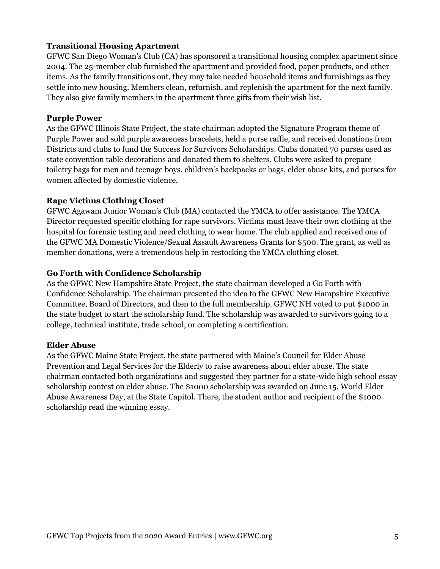## **Transitional Housing Apartment**

GFWC San Diego Woman's Club (CA) has sponsored a transitional housing complex apartment since 2004. The 25-member club furnished the apartment and provided food, paper products, and other items. As the family transitions out, they may take needed household items and furnishings as they settle into new housing. Members clean, refurnish, and replenish the apartment for the next family. They also give family members in the apartment three gifts from their wish list.

#### **Purple Power**

As the GFWC Illinois State Project, the state chairman adopted the Signature Program theme of Purple Power and sold purple awareness bracelets, held a purse raffle, and received donations from Districts and clubs to fund the Success for Survivors Scholarships. Clubs donated 70 purses used as state convention table decorations and donated them to shelters. Clubs were asked to prepare toiletry bags for men and teenage boys, children's backpacks or bags, elder abuse kits, and purses for women affected by domestic violence.

### **Rape Victims Clothing Closet**

GFWC Agawam Junior Woman's Club (MA) contacted the YMCA to offer assistance. The YMCA Director requested specific clothing for rape survivors. Victims must leave their own clothing at the hospital for forensic testing and need clothing to wear home. The club applied and received one of the GFWC MA Domestic Violence/Sexual Assault Awareness Grants for \$500. The grant, as well as member donations, were a tremendous help in restocking the YMCA clothing closet.

### **Go Forth with Confidence Scholarship**

As the GFWC New Hampshire State Project, the state chairman developed a Go Forth with Confidence Scholarship. The chairman presented the idea to the GFWC New Hampshire Executive Committee, Board of Directors, and then to the full membership. GFWC NH voted to put \$1000 in the state budget to start the scholarship fund. The scholarship was awarded to survivors going to a college, technical institute, trade school, or completing a certification.

#### **Elder Abuse**

As the GFWC Maine State Project, the state partnered with Maine's Council for Elder Abuse Prevention and Legal Services for the Elderly to raise awareness about elder abuse. The state chairman contacted both organizations and suggested they partner for a state-wide high school essay scholarship contest on elder abuse. The \$1000 scholarship was awarded on June 15, World Elder Abuse Awareness Day, at the State Capitol. There, the student author and recipient of the \$1000 scholarship read the winning essay.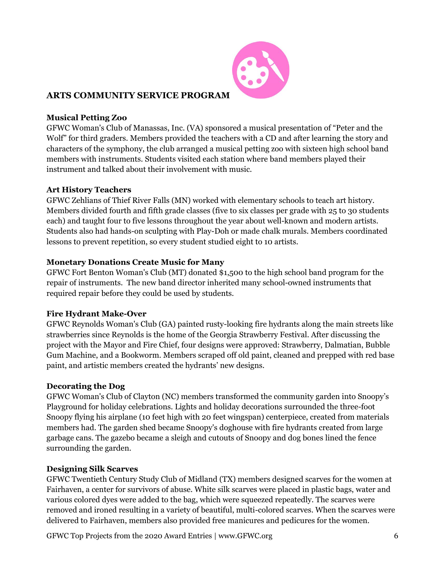

# **ARTS COMMUNITY SERVICE PROGRAM**

## **Musical Petting Zoo**

GFWC Woman's Club of Manassas, Inc. (VA) sponsored a musical presentation of "Peter and the Wolf" for third graders. Members provided the teachers with a CD and after learning the story and characters of the symphony, the club arranged a musical petting zoo with sixteen high school band members with instruments. Students visited each station where band members played their instrument and talked about their involvement with music.

### **Art History Teachers**

GFWC Zehlians of Thief River Falls (MN) worked with elementary schools to teach art history. Members divided fourth and fifth grade classes (five to six classes per grade with 25 to 30 students each) and taught four to five lessons throughout the year about well-known and modern artists. Students also had hands-on sculpting with Play-Doh or made chalk murals. Members coordinated lessons to prevent repetition, so every student studied eight to 10 artists.

### **Monetary Donations Create Music for Many**

GFWC Fort Benton Woman's Club (MT) donated \$1,500 to the high school band program for the repair of instruments. The new band director inherited many school-owned instruments that required repair before they could be used by students.

## **Fire Hydrant Make-Over**

GFWC Reynolds Woman's Club (GA) painted rusty-looking fire hydrants along the main streets like strawberries since Reynolds is the home of the Georgia Strawberry Festival. After discussing the project with the Mayor and Fire Chief, four designs were approved: Strawberry, Dalmatian, Bubble Gum Machine, and a Bookworm. Members scraped off old paint, cleaned and prepped with red base paint, and artistic members created the hydrants' new designs.

#### **Decorating the Dog**

GFWC Woman's Club of Clayton (NC) members transformed the community garden into Snoopy's Playground for holiday celebrations. Lights and holiday decorations surrounded the three-foot Snoopy flying his airplane (10 feet high with 20 feet wingspan) centerpiece, created from materials members had. The garden shed became Snoopy's doghouse with fire hydrants created from large garbage cans. The gazebo became a sleigh and cutouts of Snoopy and dog bones lined the fence surrounding the garden.

## **Designing Silk Scarves**

GFWC Twentieth Century Study Club of Midland (TX) members designed scarves for the women at Fairhaven, a center for survivors of abuse. White silk scarves were placed in plastic bags, water and various colored dyes were added to the bag, which were squeezed repeatedly. The scarves were removed and ironed resulting in a variety of beautiful, multi-colored scarves. When the scarves were delivered to Fairhaven, members also provided free manicures and pedicures for the women.

GFWC Top Projects from the 2020 Award Entries | www.GFWC.org 6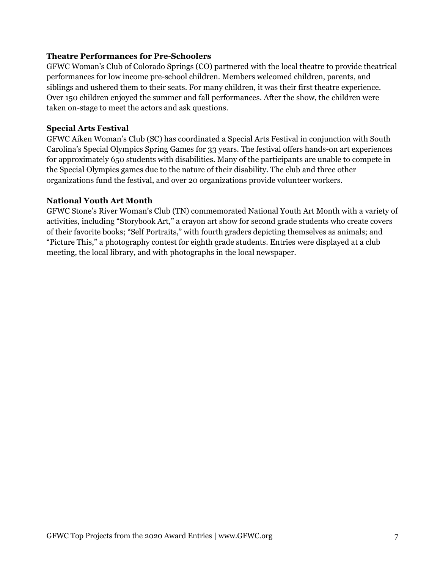#### **Theatre Performances for Pre-Schoolers**

GFWC Woman's Club of Colorado Springs (CO) partnered with the local theatre to provide theatrical performances for low income pre-school children. Members welcomed children, parents, and siblings and ushered them to their seats. For many children, it was their first theatre experience. Over 150 children enjoyed the summer and fall performances. After the show, the children were taken on-stage to meet the actors and ask questions.

### **Special Arts Festival**

GFWC Aiken Woman's Club (SC) has coordinated a Special Arts Festival in conjunction with South Carolina's Special Olympics Spring Games for 33 years. The festival offers hands-on art experiences for approximately 650 students with disabilities. Many of the participants are unable to compete in the Special Olympics games due to the nature of their disability. The club and three other organizations fund the festival, and over 20 organizations provide volunteer workers.

### **National Youth Art Month**

GFWC Stone's River Woman's Club (TN) commemorated National Youth Art Month with a variety of activities, including "Storybook Art," a crayon art show for second grade students who create covers of their favorite books; "Self Portraits," with fourth graders depicting themselves as animals; and "Picture This," a photography contest for eighth grade students. Entries were displayed at a club meeting, the local library, and with photographs in the local newspaper.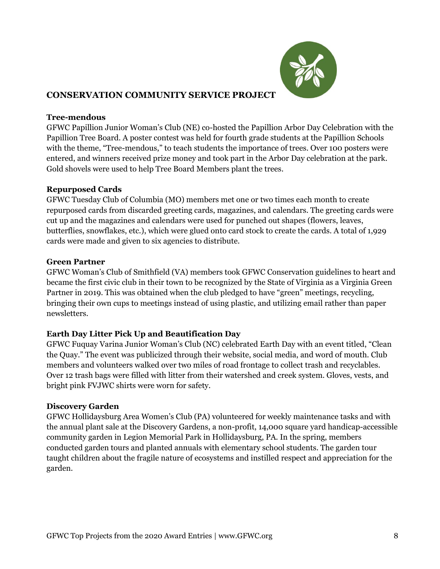

# **CONSERVATION COMMUNITY SERVICE PROJECT**

### **Tree-mendous**

GFWC Papillion Junior Woman's Club (NE) co-hosted the Papillion Arbor Day Celebration with the Papillion Tree Board. A poster contest was held for fourth grade students at the Papillion Schools with the theme, "Tree-mendous," to teach students the importance of trees. Over 100 posters were entered, and winners received prize money and took part in the Arbor Day celebration at the park. Gold shovels were used to help Tree Board Members plant the trees.

### **Repurposed Cards**

GFWC Tuesday Club of Columbia (MO) members met one or two times each month to create repurposed cards from discarded greeting cards, magazines, and calendars. The greeting cards were cut up and the magazines and calendars were used for punched out shapes (flowers, leaves, butterflies, snowflakes, etc.), which were glued onto card stock to create the cards. A total of 1,929 cards were made and given to six agencies to distribute.

### **Green Partner**

GFWC Woman's Club of Smithfield (VA) members took GFWC Conservation guidelines to heart and became the first civic club in their town to be recognized by the State of Virginia as a Virginia Green Partner in 2019. This was obtained when the club pledged to have "green" meetings, recycling, bringing their own cups to meetings instead of using plastic, and utilizing email rather than paper newsletters.

## **Earth Day Litter Pick Up and Beautification Day**

GFWC Fuquay Varina Junior Woman's Club (NC) celebrated Earth Day with an event titled, "Clean the Quay." The event was publicized through their website, social media, and word of mouth. Club members and volunteers walked over two miles of road frontage to collect trash and recyclables. Over 12 trash bags were filled with litter from their watershed and creek system. Gloves, vests, and bright pink FVJWC shirts were worn for safety.

## **Discovery Garden**

GFWC Hollidaysburg Area Women's Club (PA) volunteered for weekly maintenance tasks and with the annual plant sale at the Discovery Gardens, a non-profit, 14,000 square yard handicap-accessible community garden in Legion Memorial Park in Hollidaysburg, PA. In the spring, members conducted garden tours and planted annuals with elementary school students. The garden tour taught children about the fragile nature of ecosystems and instilled respect and appreciation for the garden.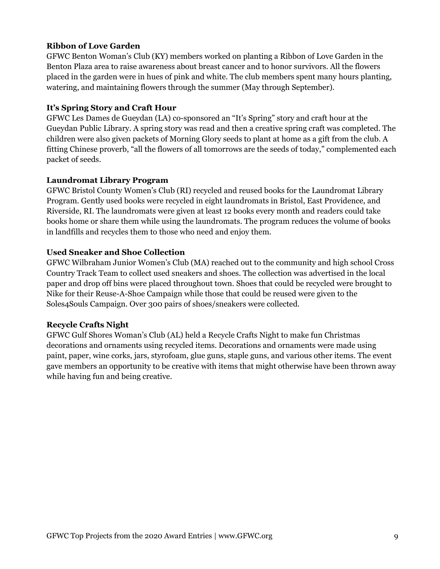## **Ribbon of Love Garden**

GFWC Benton Woman's Club (KY) members worked on planting a Ribbon of Love Garden in the Benton Plaza area to raise awareness about breast cancer and to honor survivors. All the flowers placed in the garden were in hues of pink and white. The club members spent many hours planting, watering, and maintaining flowers through the summer (May through September).

## **It's Spring Story and Craft Hour**

GFWC Les Dames de Gueydan (LA) co-sponsored an "It's Spring" story and craft hour at the Gueydan Public Library. A spring story was read and then a creative spring craft was completed. The children were also given packets of Morning Glory seeds to plant at home as a gift from the club. A fitting Chinese proverb, "all the flowers of all tomorrows are the seeds of today," complemented each packet of seeds.

## **Laundromat Library Program**

GFWC Bristol County Women's Club (RI) recycled and reused books for the Laundromat Library Program. Gently used books were recycled in eight laundromats in Bristol, East Providence, and Riverside, RI. The laundromats were given at least 12 books every month and readers could take books home or share them while using the laundromats. The program reduces the volume of books in landfills and recycles them to those who need and enjoy them.

# **Used Sneaker and Shoe Collection**

GFWC Wilbraham Junior Women's Club (MA) reached out to the community and high school Cross Country Track Team to collect used sneakers and shoes. The collection was advertised in the local paper and drop off bins were placed throughout town. Shoes that could be recycled were brought to Nike for their Reuse-A-Shoe Campaign while those that could be reused were given to the Soles4Souls Campaign. Over 300 pairs of shoes/sneakers were collected.

## **Recycle Crafts Night**

GFWC Gulf Shores Woman's Club (AL) held a Recycle Crafts Night to make fun Christmas decorations and ornaments using recycled items. Decorations and ornaments were made using paint, paper, wine corks, jars, styrofoam, glue guns, staple guns, and various other items. The event gave members an opportunity to be creative with items that might otherwise have been thrown away while having fun and being creative.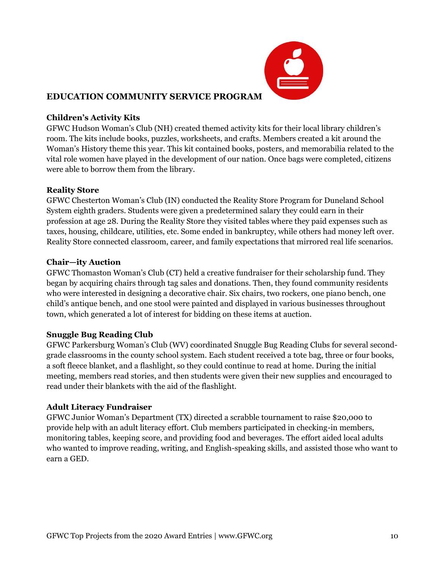

# **EDUCATION COMMUNITY SERVICE PROGRAM**

## **Children's Activity Kits**

GFWC Hudson Woman's Club (NH) created themed activity kits for their local library children's room. The kits include books, puzzles, worksheets, and crafts. Members created a kit around the Woman's History theme this year. This kit contained books, posters, and memorabilia related to the vital role women have played in the development of our nation. Once bags were completed, citizens were able to borrow them from the library.

## **Reality Store**

GFWC Chesterton Woman's Club (IN) conducted the Reality Store Program for Duneland School System eighth graders. Students were given a predetermined salary they could earn in their profession at age 28. During the Reality Store they visited tables where they paid expenses such as taxes, housing, childcare, utilities, etc. Some ended in bankruptcy, while others had money left over. Reality Store connected classroom, career, and family expectations that mirrored real life scenarios.

## **Chair—ity Auction**

GFWC Thomaston Woman's Club (CT) held a creative fundraiser for their scholarship fund. They began by acquiring chairs through tag sales and donations. Then, they found community residents who were interested in designing a decorative chair. Six chairs, two rockers, one piano bench, one child's antique bench, and one stool were painted and displayed in various businesses throughout town, which generated a lot of interest for bidding on these items at auction.

# **Snuggle Bug Reading Club**

GFWC Parkersburg Woman's Club (WV) coordinated Snuggle Bug Reading Clubs for several secondgrade classrooms in the county school system. Each student received a tote bag, three or four books, a soft fleece blanket, and a flashlight, so they could continue to read at home. During the initial meeting, members read stories, and then students were given their new supplies and encouraged to read under their blankets with the aid of the flashlight.

# **Adult Literacy Fundraiser**

GFWC Junior Woman's Department (TX) directed a scrabble tournament to raise \$20,000 to provide help with an adult literacy effort. Club members participated in checking-in members, monitoring tables, keeping score, and providing food and beverages. The effort aided local adults who wanted to improve reading, writing, and English-speaking skills, and assisted those who want to earn a GED.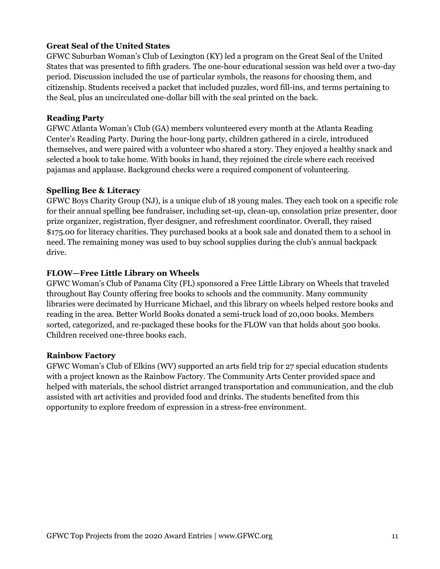## **Great Seal of the United States**

GFWC Suburban Woman's Club of Lexington (KY) led a program on the Great Seal of the United States that was presented to fifth graders. The one-hour educational session was held over a two-day period. Discussion included the use of particular symbols, the reasons for choosing them, and citizenship. Students received a packet that included puzzles, word fill-ins, and terms pertaining to the Seal, plus an uncirculated one-dollar bill with the seal printed on the back.

## **Reading Party**

GFWC Atlanta Woman's Club (GA) members volunteered every month at the Atlanta Reading Center's Reading Party. During the hour-long party, children gathered in a circle, introduced themselves, and were paired with a volunteer who shared a story. They enjoyed a healthy snack and selected a book to take home. With books in hand, they rejoined the circle where each received pajamas and applause. Background checks were a required component of volunteering.

### **Spelling Bee & Literacy**

GFWC Boys Charity Group (NJ), is a unique club of 18 young males. They each took on a specific role for their annual spelling bee fundraiser, including set-up, clean-up, consolation prize presenter, door prize organizer, registration, flyer designer, and refreshment coordinator. Overall, they raised \$175.00 for literacy charities. They purchased books at a book sale and donated them to a school in need. The remaining money was used to buy school supplies during the club's annual backpack drive.

## **FLOW—Free Little Library on Wheels**

GFWC Woman's Club of Panama City (FL) sponsored a Free Little Library on Wheels that traveled throughout Bay County offering free books to schools and the community. Many community libraries were decimated by Hurricane Michael, and this library on wheels helped restore books and reading in the area. Better World Books donated a semi-truck load of 20,000 books. Members sorted, categorized, and re-packaged these books for the FLOW van that holds about 500 books. Children received one-three books each.

#### **Rainbow Factory**

GFWC Woman's Club of Elkins (WV) supported an arts field trip for 27 special education students with a project known as the Rainbow Factory. The Community Arts Center provided space and helped with materials, the school district arranged transportation and communication, and the club assisted with art activities and provided food and drinks. The students benefited from this opportunity to explore freedom of expression in a stress-free environment.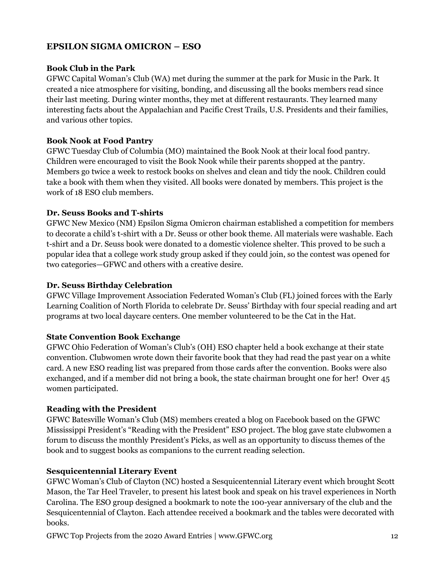# **EPSILON SIGMA OMICRON – ESO**

### **Book Club in the Park**

GFWC Capital Woman's Club (WA) met during the summer at the park for Music in the Park. It created a nice atmosphere for visiting, bonding, and discussing all the books members read since their last meeting. During winter months, they met at different restaurants. They learned many interesting facts about the Appalachian and Pacific Crest Trails, U.S. Presidents and their families, and various other topics.

### **Book Nook at Food Pantry**

GFWC Tuesday Club of Columbia (MO) maintained the Book Nook at their local food pantry. Children were encouraged to visit the Book Nook while their parents shopped at the pantry. Members go twice a week to restock books on shelves and clean and tidy the nook. Children could take a book with them when they visited. All books were donated by members. This project is the work of 18 ESO club members.

### **Dr. Seuss Books and T-shirts**

GFWC New Mexico (NM) Epsilon Sigma Omicron chairman established a competition for members to decorate a child's t-shirt with a Dr. Seuss or other book theme. All materials were washable. Each t-shirt and a Dr. Seuss book were donated to a domestic violence shelter. This proved to be such a popular idea that a college work study group asked if they could join, so the contest was opened for two categories—GFWC and others with a creative desire.

#### **Dr. Seuss Birthday Celebration**

GFWC Village Improvement Association Federated Woman's Club (FL) joined forces with the Early Learning Coalition of North Florida to celebrate Dr. Seuss' Birthday with four special reading and art programs at two local daycare centers. One member volunteered to be the Cat in the Hat.

#### **State Convention Book Exchange**

GFWC Ohio Federation of Woman's Club's (OH) ESO chapter held a book exchange at their state convention. Clubwomen wrote down their favorite book that they had read the past year on a white card. A new ESO reading list was prepared from those cards after the convention. Books were also exchanged, and if a member did not bring a book, the state chairman brought one for her! Over 45 women participated.

## **Reading with the President**

GFWC Batesville Woman's Club (MS) members created a blog on Facebook based on the GFWC Mississippi President's "Reading with the President" ESO project. The blog gave state clubwomen a forum to discuss the monthly President's Picks, as well as an opportunity to discuss themes of the book and to suggest books as companions to the current reading selection.

## **Sesquicentennial Literary Event**

GFWC Woman's Club of Clayton (NC) hosted a Sesquicentennial Literary event which brought Scott Mason, the Tar Heel Traveler, to present his latest book and speak on his travel experiences in North Carolina. The ESO group designed a bookmark to note the 100-year anniversary of the club and the Sesquicentennial of Clayton. Each attendee received a bookmark and the tables were decorated with books.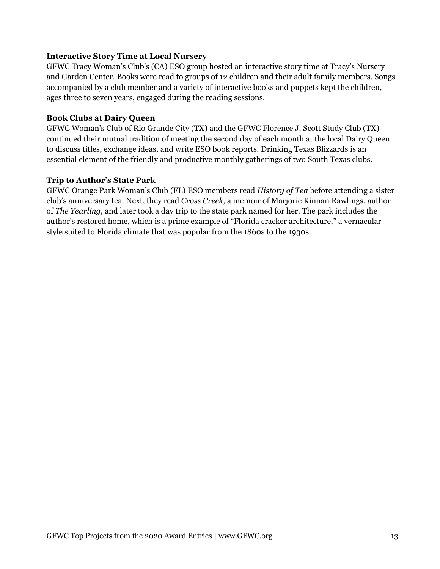## **Interactive Story Time at Local Nursery**

GFWC Tracy Woman's Club's (CA) ESO group hosted an interactive story time at Tracy's Nursery and Garden Center. Books were read to groups of 12 children and their adult family members. Songs accompanied by a club member and a variety of interactive books and puppets kept the children, ages three to seven years, engaged during the reading sessions.

## **Book Clubs at Dairy Queen**

GFWC Woman's Club of Rio Grande City (TX) and the GFWC Florence J. Scott Study Club (TX) continued their mutual tradition of meeting the second day of each month at the local Dairy Queen to discuss titles, exchange ideas, and write ESO book reports. Drinking Texas Blizzards is an essential element of the friendly and productive monthly gatherings of two South Texas clubs.

### **Trip to Author's State Park**

GFWC Orange Park Woman's Club (FL) ESO members read *History of Tea* before attending a sister club's anniversary tea. Next, they read *Cross Creek*, a memoir of Marjorie Kinnan Rawlings, author of *The Yearling,* and later took a day trip to the state park named for her. The park includes the author's restored home, which is a prime example of "Florida cracker architecture," a vernacular style suited to Florida climate that was popular from the 1860s to the 1930s.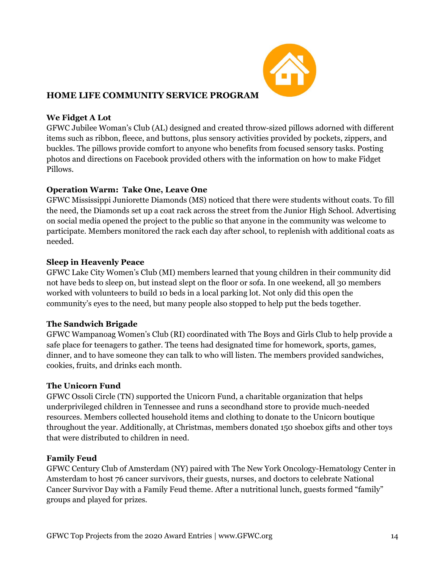

# **HOME LIFE COMMUNITY SERVICE PROGRAM**

## **We Fidget A Lot**

GFWC Jubilee Woman's Club (AL) designed and created throw-sized pillows adorned with different items such as ribbon, fleece, and buttons, plus sensory activities provided by pockets, zippers, and buckles. The pillows provide comfort to anyone who benefits from focused sensory tasks. Posting photos and directions on Facebook provided others with the information on how to make Fidget Pillows.

# **Operation Warm: Take One, Leave One**

GFWC Mississippi Juniorette Diamonds (MS) noticed that there were students without coats. To fill the need, the Diamonds set up a coat rack across the street from the Junior High School. Advertising on social media opened the project to the public so that anyone in the community was welcome to participate. Members monitored the rack each day after school, to replenish with additional coats as needed.

## **Sleep in Heavenly Peace**

GFWC Lake City Women's Club (MI) members learned that young children in their community did not have beds to sleep on, but instead slept on the floor or sofa. In one weekend, all 30 members worked with volunteers to build 10 beds in a local parking lot. Not only did this open the community's eyes to the need, but many people also stopped to help put the beds together.

## **The Sandwich Brigade**

GFWC Wampanoag Women's Club (RI) coordinated with The Boys and Girls Club to help provide a safe place for teenagers to gather. The teens had designated time for homework, sports, games, dinner, and to have someone they can talk to who will listen. The members provided sandwiches, cookies, fruits, and drinks each month.

## **The Unicorn Fund**

GFWC Ossoli Circle (TN) supported the Unicorn Fund, a charitable organization that helps underprivileged children in Tennessee and runs a secondhand store to provide much-needed resources. Members collected household items and clothing to donate to the Unicorn boutique throughout the year. Additionally, at Christmas, members donated 150 shoebox gifts and other toys that were distributed to children in need.

# **Family Feud**

GFWC Century Club of Amsterdam (NY) paired with The New York Oncology-Hematology Center in Amsterdam to host 76 cancer survivors, their guests, nurses, and doctors to celebrate National Cancer Survivor Day with a Family Feud theme. After a nutritional lunch, guests formed "family" groups and played for prizes.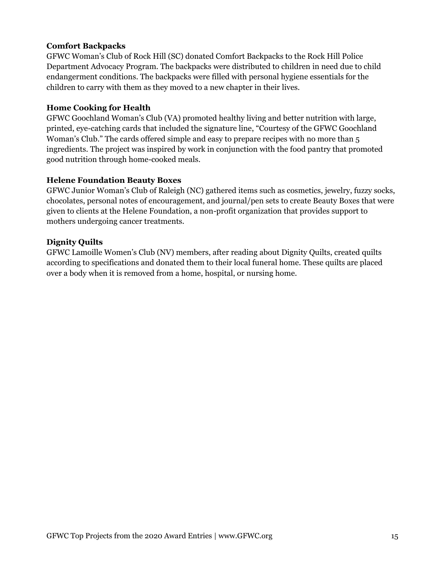## **Comfort Backpacks**

GFWC Woman's Club of Rock Hill (SC) donated Comfort Backpacks to the Rock Hill Police Department Advocacy Program. The backpacks were distributed to children in need due to child endangerment conditions. The backpacks were filled with personal hygiene essentials for the children to carry with them as they moved to a new chapter in their lives.

## **Home Cooking for Health**

GFWC Goochland Woman's Club (VA) promoted healthy living and better nutrition with large, printed, eye-catching cards that included the signature line, "Courtesy of the GFWC Goochland Woman's Club." The cards offered simple and easy to prepare recipes with no more than 5 ingredients. The project was inspired by work in conjunction with the food pantry that promoted good nutrition through home-cooked meals.

### **Helene Foundation Beauty Boxes**

GFWC Junior Woman's Club of Raleigh (NC) gathered items such as cosmetics, jewelry, fuzzy socks, chocolates, personal notes of encouragement, and journal/pen sets to create Beauty Boxes that were given to clients at the Helene Foundation, a non-profit organization that provides support to mothers undergoing cancer treatments.

## **Dignity Quilts**

GFWC Lamoille Women's Club (NV) members, after reading about Dignity Quilts, created quilts according to specifications and donated them to their local funeral home. These quilts are placed over a body when it is removed from a home, hospital, or nursing home.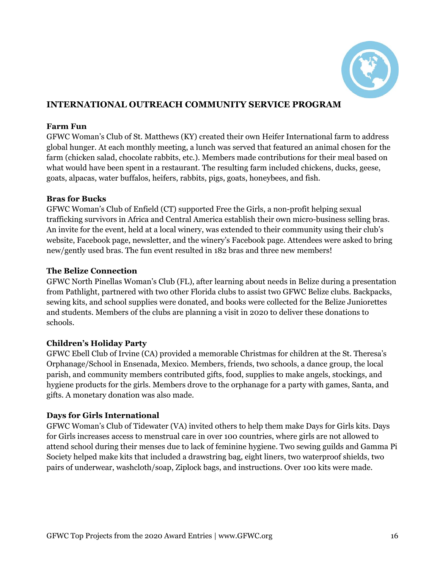

# **INTERNATIONAL OUTREACH COMMUNITY SERVICE PROGRAM**

## **Farm Fun**

GFWC Woman's Club of St. Matthews (KY) created their own Heifer International farm to address global hunger. At each monthly meeting, a lunch was served that featured an animal chosen for the farm (chicken salad, chocolate rabbits, etc.). Members made contributions for their meal based on what would have been spent in a restaurant. The resulting farm included chickens, ducks, geese, goats, alpacas, water buffalos, heifers, rabbits, pigs, goats, honeybees, and fish.

### **Bras for Bucks**

GFWC Woman's Club of Enfield (CT) supported Free the Girls, a non-profit helping sexual trafficking survivors in Africa and Central America establish their own micro-business selling bras. An invite for the event, held at a local winery, was extended to their community using their club's website, Facebook page, newsletter, and the winery's Facebook page. Attendees were asked to bring new/gently used bras. The fun event resulted in 182 bras and three new members!

### **The Belize Connection**

GFWC North Pinellas Woman's Club (FL), after learning about needs in Belize during a presentation from Pathlight, partnered with two other Florida clubs to assist two GFWC Belize clubs. Backpacks, sewing kits, and school supplies were donated, and books were collected for the Belize Juniorettes and students. Members of the clubs are planning a visit in 2020 to deliver these donations to schools.

#### **Children's Holiday Party**

GFWC Ebell Club of Irvine (CA) provided a memorable Christmas for children at the St. Theresa's Orphanage/School in Ensenada, Mexico. Members, friends, two schools, a dance group, the local parish, and community members contributed gifts, food, supplies to make angels, stockings, and hygiene products for the girls. Members drove to the orphanage for a party with games, Santa, and gifts. A monetary donation was also made.

## **Days for Girls International**

GFWC Woman's Club of Tidewater (VA) invited others to help them make Days for Girls kits. Days for Girls increases access to menstrual care in over 100 countries, where girls are not allowed to attend school during their menses due to lack of feminine hygiene. Two sewing guilds and Gamma Pi Society helped make kits that included a drawstring bag, eight liners, two waterproof shields, two pairs of underwear, washcloth/soap, Ziplock bags, and instructions. Over 100 kits were made.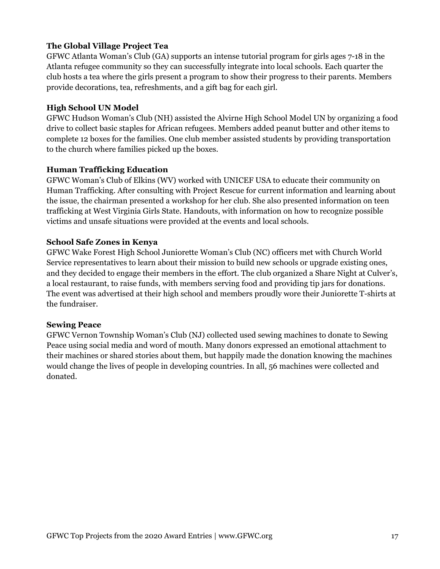# **The Global Village Project Tea**

GFWC Atlanta Woman's Club (GA) supports an intense tutorial program for girls ages 7-18 in the Atlanta refugee community so they can successfully integrate into local schools. Each quarter the club hosts a tea where the girls present a program to show their progress to their parents. Members provide decorations, tea, refreshments, and a gift bag for each girl.

## **High School UN Model**

GFWC Hudson Woman's Club (NH) assisted the Alvirne High School Model UN by organizing a food drive to collect basic staples for African refugees. Members added peanut butter and other items to complete 12 boxes for the families. One club member assisted students by providing transportation to the church where families picked up the boxes.

# **Human Trafficking Education**

GFWC Woman's Club of Elkins (WV) worked with UNICEF USA to educate their community on Human Trafficking. After consulting with Project Rescue for current information and learning about the issue, the chairman presented a workshop for her club. She also presented information on teen trafficking at West Virginia Girls State. Handouts, with information on how to recognize possible victims and unsafe situations were provided at the events and local schools.

# **School Safe Zones in Kenya**

GFWC Wake Forest High School Juniorette Woman's Club (NC) officers met with Church World Service representatives to learn about their mission to build new schools or upgrade existing ones, and they decided to engage their members in the effort. The club organized a Share Night at Culver's, a local restaurant, to raise funds, with members serving food and providing tip jars for donations. The event was advertised at their high school and members proudly wore their Juniorette T-shirts at the fundraiser.

## **Sewing Peace**

GFWC Vernon Township Woman's Club (NJ) collected used sewing machines to donate to Sewing Peace using social media and word of mouth. Many donors expressed an emotional attachment to their machines or shared stories about them, but happily made the donation knowing the machines would change the lives of people in developing countries. In all, 56 machines were collected and donated.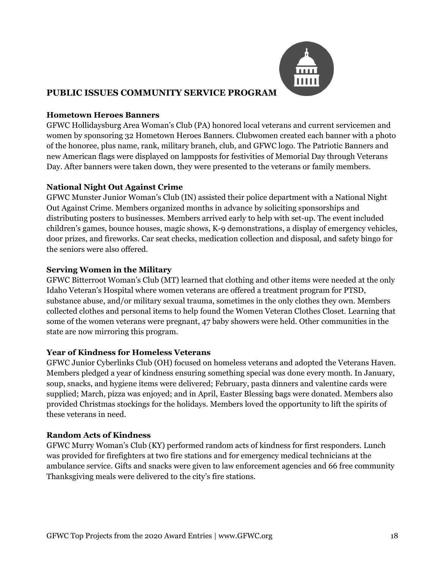

# **PUBLIC ISSUES COMMUNITY SERVICE PROGRAM**

## **Hometown Heroes Banners**

GFWC Hollidaysburg Area Woman's Club (PA) honored local veterans and current servicemen and women by sponsoring 32 Hometown Heroes Banners. Clubwomen created each banner with a photo of the honoree, plus name, rank, military branch, club, and GFWC logo. The Patriotic Banners and new American flags were displayed on lampposts for festivities of Memorial Day through Veterans Day. After banners were taken down, they were presented to the veterans or family members.

## **National Night Out Against Crime**

GFWC Munster Junior Woman's Club (IN) assisted their police department with a National Night Out Against Crime. Members organized months in advance by soliciting sponsorships and distributing posters to businesses. Members arrived early to help with set-up. The event included children's games, bounce houses, magic shows, K-9 demonstrations, a display of emergency vehicles, door prizes, and fireworks. Car seat checks, medication collection and disposal, and safety bingo for the seniors were also offered.

# **Serving Women in the Military**

GFWC Bitterroot Woman's Club (MT) learned that clothing and other items were needed at the only Idaho Veteran's Hospital where women veterans are offered a treatment program for PTSD, substance abuse, and/or military sexual trauma, sometimes in the only clothes they own. Members collected clothes and personal items to help found the Women Veteran Clothes Closet. Learning that some of the women veterans were pregnant, 47 baby showers were held. Other communities in the state are now mirroring this program.

## **Year of Kindness for Homeless Veterans**

GFWC Junior Cyberlinks Club (OH) focused on homeless veterans and adopted the Veterans Haven. Members pledged a year of kindness ensuring something special was done every month. In January, soup, snacks, and hygiene items were delivered; February, pasta dinners and valentine cards were supplied; March, pizza was enjoyed; and in April, Easter Blessing bags were donated. Members also provided Christmas stockings for the holidays. Members loved the opportunity to lift the spirits of these veterans in need.

## **Random Acts of Kindness**

GFWC Murry Woman's Club (KY) performed random acts of kindness for first responders. Lunch was provided for firefighters at two fire stations and for emergency medical technicians at the ambulance service. Gifts and snacks were given to law enforcement agencies and 66 free community Thanksgiving meals were delivered to the city's fire stations.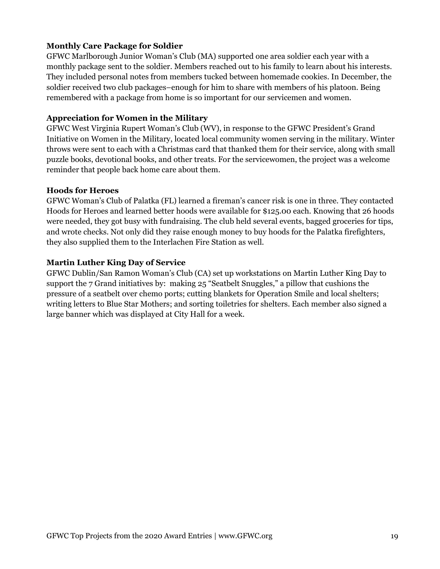## **Monthly Care Package for Soldier**

GFWC Marlborough Junior Woman's Club (MA) supported one area soldier each year with a monthly package sent to the soldier. Members reached out to his family to learn about his interests. They included personal notes from members tucked between homemade cookies. In December, the soldier received two club packages–enough for him to share with members of his platoon. Being remembered with a package from home is so important for our servicemen and women.

### **Appreciation for Women in the Military**

GFWC West Virginia Rupert Woman's Club (WV), in response to the GFWC President's Grand Initiative on Women in the Military, located local community women serving in the military. Winter throws were sent to each with a Christmas card that thanked them for their service, along with small puzzle books, devotional books, and other treats. For the servicewomen, the project was a welcome reminder that people back home care about them.

#### **Hoods for Heroes**

GFWC Woman's Club of Palatka (FL) learned a fireman's cancer risk is one in three. They contacted Hoods for Heroes and learned better hoods were available for \$125.00 each. Knowing that 26 hoods were needed, they got busy with fundraising. The club held several events, bagged groceries for tips, and wrote checks. Not only did they raise enough money to buy hoods for the Palatka firefighters, they also supplied them to the Interlachen Fire Station as well.

### **Martin Luther King Day of Service**

GFWC Dublin/San Ramon Woman's Club (CA) set up workstations on Martin Luther King Day to support the 7 Grand initiatives by: making 25 "Seatbelt Snuggles," a pillow that cushions the pressure of a seatbelt over chemo ports; cutting blankets for Operation Smile and local shelters; writing letters to Blue Star Mothers; and sorting toiletries for shelters. Each member also signed a large banner which was displayed at City Hall for a week.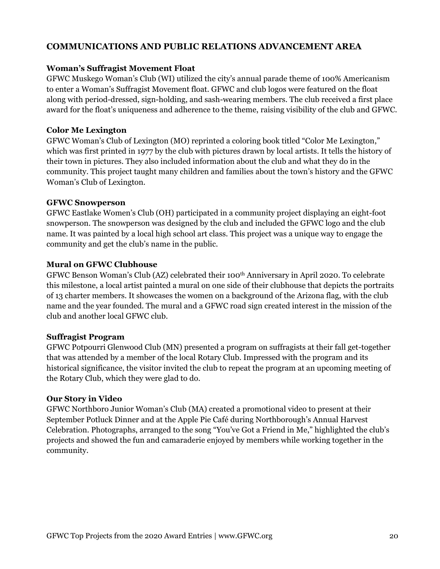# **COMMUNICATIONS AND PUBLIC RELATIONS ADVANCEMENT AREA**

#### **Woman's Suffragist Movement Float**

GFWC Muskego Woman's Club (WI) utilized the city's annual parade theme of 100% Americanism to enter a Woman's Suffragist Movement float. GFWC and club logos were featured on the float along with period-dressed, sign-holding, and sash-wearing members. The club received a first place award for the float's uniqueness and adherence to the theme, raising visibility of the club and GFWC.

## **Color Me Lexington**

GFWC Woman's Club of Lexington (MO) reprinted a coloring book titled "Color Me Lexington," which was first printed in 1977 by the club with pictures drawn by local artists. It tells the history of their town in pictures. They also included information about the club and what they do in the community. This project taught many children and families about the town's history and the GFWC Woman's Club of Lexington.

#### **GFWC Snowperson**

GFWC Eastlake Women's Club (OH) participated in a community project displaying an eight-foot snowperson. The snowperson was designed by the club and included the GFWC logo and the club name. It was painted by a local high school art class. This project was a unique way to engage the community and get the club's name in the public.

### **Mural on GFWC Clubhouse**

GFWC Benson Woman's Club (AZ) celebrated their 100<sup>th</sup> Anniversary in April 2020. To celebrate this milestone, a local artist painted a mural on one side of their clubhouse that depicts the portraits of 13 charter members. It showcases the women on a background of the Arizona flag, with the club name and the year founded. The mural and a GFWC road sign created interest in the mission of the club and another local GFWC club.

#### **Suffragist Program**

GFWC Potpourri Glenwood Club (MN) presented a program on suffragists at their fall get-together that was attended by a member of the local Rotary Club. Impressed with the program and its historical significance, the visitor invited the club to repeat the program at an upcoming meeting of the Rotary Club, which they were glad to do.

#### **Our Story in Video**

GFWC Northboro Junior Woman's Club (MA) created a promotional video to present at their September Potluck Dinner and at the Apple Pie Café during Northborough's Annual Harvest Celebration. Photographs, arranged to the song "You've Got a Friend in Me," highlighted the club's projects and showed the fun and camaraderie enjoyed by members while working together in the community.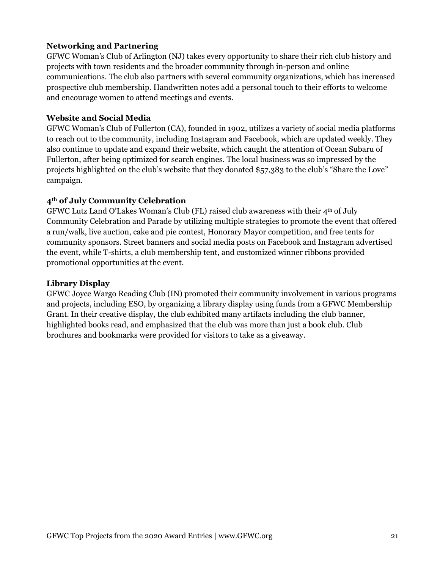## **Networking and Partnering**

GFWC Woman's Club of Arlington (NJ) takes every opportunity to share their rich club history and projects with town residents and the broader community through in-person and online communications. The club also partners with several community organizations, which has increased prospective club membership. Handwritten notes add a personal touch to their efforts to welcome and encourage women to attend meetings and events.

#### **Website and Social Media**

GFWC Woman's Club of Fullerton (CA), founded in 1902, utilizes a variety of social media platforms to reach out to the community, including Instagram and Facebook, which are updated weekly. They also continue to update and expand their website, which caught the attention of Ocean Subaru of Fullerton, after being optimized for search engines. The local business was so impressed by the projects highlighted on the club's website that they donated \$57,383 to the club's "Share the Love" campaign.

### **4th of July Community Celebration**

GFWC Lutz Land O'Lakes Woman's Club (FL) raised club awareness with their  $4<sup>th</sup>$  of July Community Celebration and Parade by utilizing multiple strategies to promote the event that offered a run/walk, live auction, cake and pie contest, Honorary Mayor competition, and free tents for community sponsors. Street banners and social media posts on Facebook and Instagram advertised the event, while T-shirts, a club membership tent, and customized winner ribbons provided promotional opportunities at the event.

#### **Library Display**

GFWC Joyce Wargo Reading Club (IN) promoted their community involvement in various programs and projects, including ESO, by organizing a library display using funds from a GFWC Membership Grant. In their creative display, the club exhibited many artifacts including the club banner, highlighted books read, and emphasized that the club was more than just a book club. Club brochures and bookmarks were provided for visitors to take as a giveaway.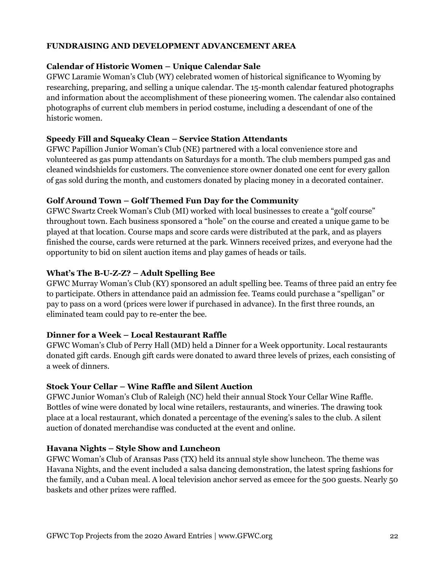## **FUNDRAISING AND DEVELOPMENT ADVANCEMENT AREA**

#### **Calendar of Historic Women – Unique Calendar Sale**

GFWC Laramie Woman's Club (WY) celebrated women of historical significance to Wyoming by researching, preparing, and selling a unique calendar. The 15-month calendar featured photographs and information about the accomplishment of these pioneering women. The calendar also contained photographs of current club members in period costume, including a descendant of one of the historic women.

### **Speedy Fill and Squeaky Clean – Service Station Attendants**

GFWC Papillion Junior Woman's Club (NE) partnered with a local convenience store and volunteered as gas pump attendants on Saturdays for a month. The club members pumped gas and cleaned windshields for customers. The convenience store owner donated one cent for every gallon of gas sold during the month, and customers donated by placing money in a decorated container.

## **Golf Around Town – Golf Themed Fun Day for the Community**

GFWC Swartz Creek Woman's Club (MI) worked with local businesses to create a "golf course" throughout town. Each business sponsored a "hole" on the course and created a unique game to be played at that location. Course maps and score cards were distributed at the park, and as players finished the course, cards were returned at the park. Winners received prizes, and everyone had the opportunity to bid on silent auction items and play games of heads or tails.

### **What's The B-U-Z-Z? – Adult Spelling Bee**

GFWC Murray Woman's Club (KY) sponsored an adult spelling bee. Teams of three paid an entry fee to participate. Others in attendance paid an admission fee. Teams could purchase a "spelligan" or pay to pass on a word (prices were lower if purchased in advance). In the first three rounds, an eliminated team could pay to re-enter the bee.

## **Dinner for a Week – Local Restaurant Raffle**

GFWC Woman's Club of Perry Hall (MD) held a Dinner for a Week opportunity. Local restaurants donated gift cards. Enough gift cards were donated to award three levels of prizes, each consisting of a week of dinners.

#### **Stock Your Cellar – Wine Raffle and Silent Auction**

GFWC Junior Woman's Club of Raleigh (NC) held their annual Stock Your Cellar Wine Raffle. Bottles of wine were donated by local wine retailers, restaurants, and wineries. The drawing took place at a local restaurant, which donated a percentage of the evening's sales to the club. A silent auction of donated merchandise was conducted at the event and online.

#### **Havana Nights – Style Show and Luncheon**

GFWC Woman's Club of Aransas Pass (TX) held its annual style show luncheon. The theme was Havana Nights, and the event included a salsa dancing demonstration, the latest spring fashions for the family, and a Cuban meal. A local television anchor served as emcee for the 500 guests. Nearly 50 baskets and other prizes were raffled.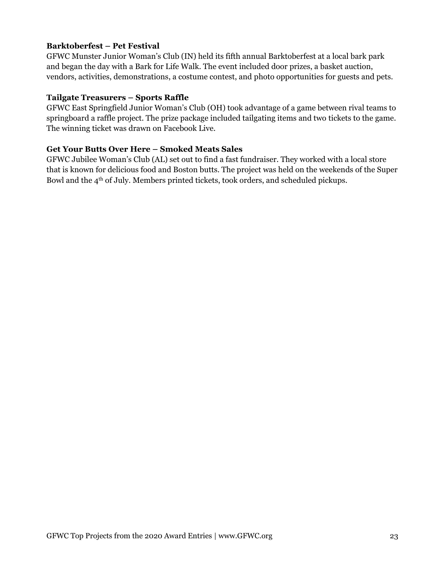## **Barktoberfest – Pet Festival**

GFWC Munster Junior Woman's Club (IN) held its fifth annual Barktoberfest at a local bark park and began the day with a Bark for Life Walk. The event included door prizes, a basket auction, vendors, activities, demonstrations, a costume contest, and photo opportunities for guests and pets.

## **Tailgate Treasurers – Sports Raffle**

GFWC East Springfield Junior Woman's Club (OH) took advantage of a game between rival teams to springboard a raffle project. The prize package included tailgating items and two tickets to the game. The winning ticket was drawn on Facebook Live.

## **Get Your Butts Over Here – Smoked Meats Sales**

GFWC Jubilee Woman's Club (AL) set out to find a fast fundraiser. They worked with a local store that is known for delicious food and Boston butts. The project was held on the weekends of the Super Bowl and the 4th of July. Members printed tickets, took orders, and scheduled pickups.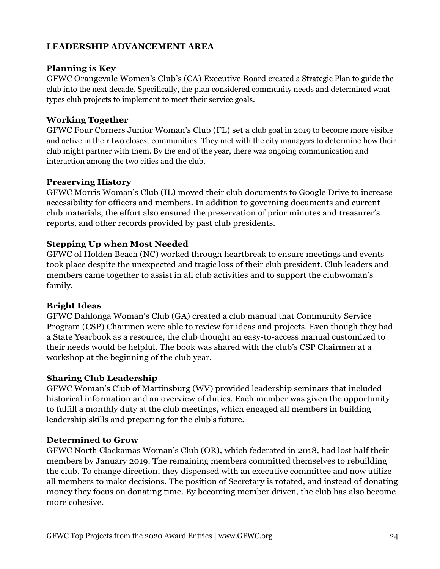# **LEADERSHIP ADVANCEMENT AREA**

## **Planning is Key**

GFWC Orangevale Women's Club's (CA) Executive Board created a Strategic Plan to guide the club into the next decade. Specifically, the plan considered community needs and determined what types club projects to implement to meet their service goals.

## **Working Together**

GFWC Four Corners Junior Woman's Club (FL) set a club goal in 2019 to become more visible and active in their two closest communities. They met with the city managers to determine how their club might partner with them. By the end of the year, there was ongoing communication and interaction among the two cities and the club.

### **Preserving History**

GFWC Morris Woman's Club (IL) moved their club documents to Google Drive to increase accessibility for officers and members. In addition to governing documents and current club materials, the effort also ensured the preservation of prior minutes and treasurer's reports, and other records provided by past club presidents.

## **Stepping Up when Most Needed**

GFWC of Holden Beach (NC) worked through heartbreak to ensure meetings and events took place despite the unexpected and tragic loss of their club president. Club leaders and members came together to assist in all club activities and to support the clubwoman's family.

## **Bright Ideas**

GFWC Dahlonga Woman's Club (GA) created a club manual that Community Service Program (CSP) Chairmen were able to review for ideas and projects. Even though they had a State Yearbook as a resource, the club thought an easy-to-access manual customized to their needs would be helpful. The book was shared with the club's CSP Chairmen at a workshop at the beginning of the club year.

## **Sharing Club Leadership**

GFWC Woman's Club of Martinsburg (WV) provided leadership seminars that included historical information and an overview of duties. Each member was given the opportunity to fulfill a monthly duty at the club meetings, which engaged all members in building leadership skills and preparing for the club's future.

## **Determined to Grow**

GFWC North Clackamas Woman's Club (OR), which federated in 2018, had lost half their members by January 2019. The remaining members committed themselves to rebuilding the club. To change direction, they dispensed with an executive committee and now utilize all members to make decisions. The position of Secretary is rotated, and instead of donating money they focus on donating time. By becoming member driven, the club has also become more cohesive.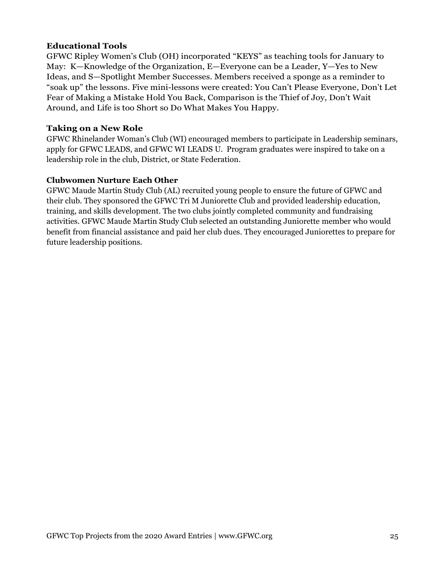## **Educational Tools**

GFWC Ripley Women's Club (OH) incorporated "KEYS" as teaching tools for January to May: K—Knowledge of the Organization, E—Everyone can be a Leader, Y—Yes to New Ideas, and S—Spotlight Member Successes. Members received a sponge as a reminder to "soak up" the lessons. Five mini-lessons were created: You Can't Please Everyone, Don't Let Fear of Making a Mistake Hold You Back, Comparison is the Thief of Joy, Don't Wait Around, and Life is too Short so Do What Makes You Happy.

# **Taking on a New Role**

GFWC Rhinelander Woman's Club (WI) encouraged members to participate in Leadership seminars, apply for GFWC LEADS, and GFWC WI LEADS U. Program graduates were inspired to take on a leadership role in the club, District, or State Federation.

# **Clubwomen Nurture Each Other**

GFWC Maude Martin Study Club (AL) recruited young people to ensure the future of GFWC and their club. They sponsored the GFWC Tri M Juniorette Club and provided leadership education, training, and skills development. The two clubs jointly completed community and fundraising activities. GFWC Maude Martin Study Club selected an outstanding Juniorette member who would benefit from financial assistance and paid her club dues. They encouraged Juniorettes to prepare for future leadership positions.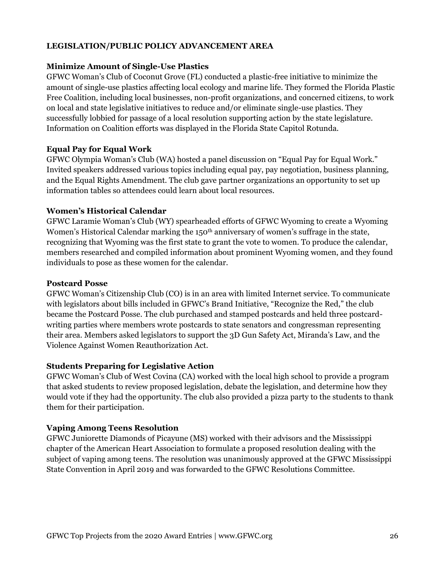## **LEGISLATION/PUBLIC POLICY ADVANCEMENT AREA**

## **Minimize Amount of Single-Use Plastics**

GFWC Woman's Club of Coconut Grove (FL) conducted a plastic-free initiative to minimize the amount of single-use plastics affecting local ecology and marine life. They formed the Florida Plastic Free Coalition, including local businesses, non-profit organizations, and concerned citizens, to work on local and state legislative initiatives to reduce and/or eliminate single-use plastics. They successfully lobbied for passage of a local resolution supporting action by the state legislature. Information on Coalition efforts was displayed in the Florida State Capitol Rotunda.

### **Equal Pay for Equal Work**

GFWC Olympia Woman's Club (WA) hosted a panel discussion on "Equal Pay for Equal Work." Invited speakers addressed various topics including equal pay, pay negotiation, business planning, and the Equal Rights Amendment. The club gave partner organizations an opportunity to set up information tables so attendees could learn about local resources.

### **Women's Historical Calendar**

GFWC Laramie Woman's Club (WY) spearheaded efforts of GFWC Wyoming to create a Wyoming Women's Historical Calendar marking the 150<sup>th</sup> anniversary of women's suffrage in the state, recognizing that Wyoming was the first state to grant the vote to women. To produce the calendar, members researched and compiled information about prominent Wyoming women, and they found individuals to pose as these women for the calendar.

#### **Postcard Posse**

GFWC Woman's Citizenship Club (CO) is in an area with limited Internet service. To communicate with legislators about bills included in GFWC's Brand Initiative, "Recognize the Red," the club became the Postcard Posse. The club purchased and stamped postcards and held three postcardwriting parties where members wrote postcards to state senators and congressman representing their area. Members asked legislators to support the 3D Gun Safety Act, Miranda's Law, and the Violence Against Women Reauthorization Act.

## **Students Preparing for Legislative Action**

GFWC Woman's Club of West Covina (CA) worked with the local high school to provide a program that asked students to review proposed legislation, debate the legislation, and determine how they would vote if they had the opportunity. The club also provided a pizza party to the students to thank them for their participation.

## **Vaping Among Teens Resolution**

GFWC Juniorette Diamonds of Picayune (MS) worked with their advisors and the Mississippi chapter of the American Heart Association to formulate a proposed resolution dealing with the subject of vaping among teens. The resolution was unanimously approved at the GFWC Mississippi State Convention in April 2019 and was forwarded to the GFWC Resolutions Committee.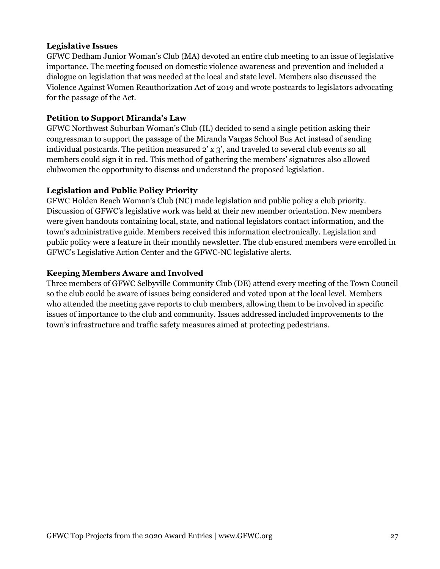## **Legislative Issues**

GFWC Dedham Junior Woman's Club (MA) devoted an entire club meeting to an issue of legislative importance. The meeting focused on domestic violence awareness and prevention and included a dialogue on legislation that was needed at the local and state level. Members also discussed the Violence Against Women Reauthorization Act of 2019 and wrote postcards to legislators advocating for the passage of the Act.

### **Petition to Support Miranda's Law**

GFWC Northwest Suburban Woman's Club (IL) decided to send a single petition asking their congressman to support the passage of the Miranda Vargas School Bus Act instead of sending individual postcards. The petition measured 2' x 3', and traveled to several club events so all members could sign it in red. This method of gathering the members' signatures also allowed clubwomen the opportunity to discuss and understand the proposed legislation.

### **Legislation and Public Policy Priority**

GFWC Holden Beach Woman's Club (NC) made legislation and public policy a club priority. Discussion of GFWC's legislative work was held at their new member orientation. New members were given handouts containing local, state, and national legislators contact information, and the town's administrative guide. Members received this information electronically. Legislation and public policy were a feature in their monthly newsletter. The club ensured members were enrolled in GFWC's Legislative Action Center and the GFWC-NC legislative alerts.

### **Keeping Members Aware and Involved**

Three members of GFWC Selbyville Community Club (DE) attend every meeting of the Town Council so the club could be aware of issues being considered and voted upon at the local level. Members who attended the meeting gave reports to club members, allowing them to be involved in specific issues of importance to the club and community. Issues addressed included improvements to the town's infrastructure and traffic safety measures aimed at protecting pedestrians.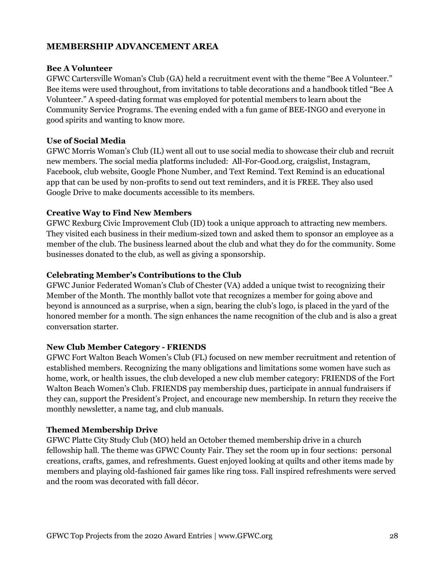## **MEMBERSHIP ADVANCEMENT AREA**

#### **Bee A Volunteer**

GFWC Cartersville Woman's Club (GA) held a recruitment event with the theme "Bee A Volunteer." Bee items were used throughout, from invitations to table decorations and a handbook titled "Bee A Volunteer." A speed-dating format was employed for potential members to learn about the Community Service Programs. The evening ended with a fun game of BEE-INGO and everyone in good spirits and wanting to know more.

## **Use of Social Media**

GFWC Morris Woman's Club (IL) went all out to use social media to showcase their club and recruit new members. The social media platforms included: All-For-Good.org, craigslist, Instagram, Facebook, club website, Google Phone Number, and Text Remind. Text Remind is an educational app that can be used by non-profits to send out text reminders, and it is FREE. They also used Google Drive to make documents accessible to its members.

### **Creative Way to Find New Members**

GFWC Rexburg Civic Improvement Club (ID) took a unique approach to attracting new members. They visited each business in their medium-sized town and asked them to sponsor an employee as a member of the club. The business learned about the club and what they do for the community. Some businesses donated to the club, as well as giving a sponsorship.

### **Celebrating Member's Contributions to the Club**

GFWC Junior Federated Woman's Club of Chester (VA) added a unique twist to recognizing their Member of the Month. The monthly ballot vote that recognizes a member for going above and beyond is announced as a surprise, when a sign, bearing the club's logo, is placed in the yard of the honored member for a month. The sign enhances the name recognition of the club and is also a great conversation starter.

#### **New Club Member Category - FRIENDS**

GFWC Fort Walton Beach Women's Club (FL) focused on new member recruitment and retention of established members. Recognizing the many obligations and limitations some women have such as home, work, or health issues, the club developed a new club member category: FRIENDS of the Fort Walton Beach Women's Club. FRIENDS pay membership dues, participate in annual fundraisers if they can, support the President's Project, and encourage new membership. In return they receive the monthly newsletter, a name tag, and club manuals.

## **Themed Membership Drive**

GFWC Platte City Study Club (MO) held an October themed membership drive in a church fellowship hall. The theme was GFWC County Fair. They set the room up in four sections: personal creations, crafts, games, and refreshments. Guest enjoyed looking at quilts and other items made by members and playing old-fashioned fair games like ring toss. Fall inspired refreshments were served and the room was decorated with fall décor.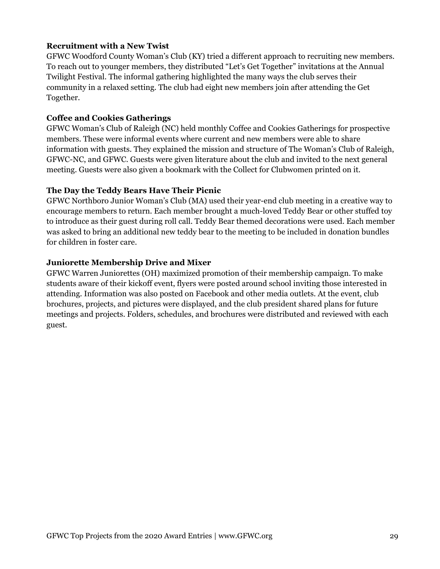## **Recruitment with a New Twist**

GFWC Woodford County Woman's Club (KY) tried a different approach to recruiting new members. To reach out to younger members, they distributed "Let's Get Together" invitations at the Annual Twilight Festival. The informal gathering highlighted the many ways the club serves their community in a relaxed setting. The club had eight new members join after attending the Get Together.

## **Coffee and Cookies Gatherings**

GFWC Woman's Club of Raleigh (NC) held monthly Coffee and Cookies Gatherings for prospective members. These were informal events where current and new members were able to share information with guests. They explained the mission and structure of The Woman's Club of Raleigh, GFWC-NC, and GFWC. Guests were given literature about the club and invited to the next general meeting. Guests were also given a bookmark with the Collect for Clubwomen printed on it.

#### **The Day the Teddy Bears Have Their Picnic**

GFWC Northboro Junior Woman's Club (MA) used their year-end club meeting in a creative way to encourage members to return. Each member brought a much-loved Teddy Bear or other stuffed toy to introduce as their guest during roll call. Teddy Bear themed decorations were used. Each member was asked to bring an additional new teddy bear to the meeting to be included in donation bundles for children in foster care.

### **Juniorette Membership Drive and Mixer**

GFWC Warren Juniorettes (OH) maximized promotion of their membership campaign. To make students aware of their kickoff event, flyers were posted around school inviting those interested in attending. Information was also posted on Facebook and other media outlets. At the event, club brochures, projects, and pictures were displayed, and the club president shared plans for future meetings and projects. Folders, schedules, and brochures were distributed and reviewed with each guest.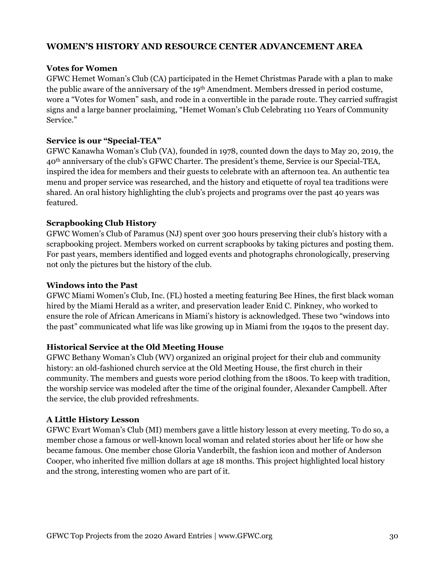## **WOMEN'S HISTORY AND RESOURCE CENTER ADVANCEMENT AREA**

## **Votes for Women**

GFWC Hemet Woman's Club (CA) participated in the Hemet Christmas Parade with a plan to make the public aware of the anniversary of the 19th Amendment. Members dressed in period costume, wore a "Votes for Women" sash, and rode in a convertible in the parade route. They carried suffragist signs and a large banner proclaiming, "Hemet Woman's Club Celebrating 110 Years of Community Service."

## **Service is our "Special-TEA"**

GFWC Kanawha Woman's Club (VA), founded in 1978, counted down the days to May 20, 2019, the 40th anniversary of the club's GFWC Charter. The president's theme, Service is our Special-TEA, inspired the idea for members and their guests to celebrate with an afternoon tea. An authentic tea menu and proper service was researched, and the history and etiquette of royal tea traditions were shared. An oral history highlighting the club's projects and programs over the past 40 years was featured.

## **Scrapbooking Club History**

GFWC Women's Club of Paramus (NJ) spent over 300 hours preserving their club's history with a scrapbooking project. Members worked on current scrapbooks by taking pictures and posting them. For past years, members identified and logged events and photographs chronologically, preserving not only the pictures but the history of the club.

#### **Windows into the Past**

GFWC Miami Women's Club, Inc. (FL) hosted a meeting featuring Bee Hines, the first black woman hired by the Miami Herald as a writer, and preservation leader Enid C. Pinkney, who worked to ensure the role of African Americans in Miami's history is acknowledged. These two "windows into the past" communicated what life was like growing up in Miami from the 1940s to the present day.

#### **Historical Service at the Old Meeting House**

GFWC Bethany Woman's Club (WV) organized an original project for their club and community history: an old-fashioned church service at the Old Meeting House, the first church in their community. The members and guests wore period clothing from the 1800s. To keep with tradition, the worship service was modeled after the time of the original founder, Alexander Campbell. After the service, the club provided refreshments.

#### **A Little History Lesson**

GFWC Evart Woman's Club (MI) members gave a little history lesson at every meeting. To do so, a member chose a famous or well-known local woman and related stories about her life or how she became famous. One member chose Gloria Vanderbilt, the fashion icon and mother of Anderson Cooper, who inherited five million dollars at age 18 months. This project highlighted local history and the strong, interesting women who are part of it.